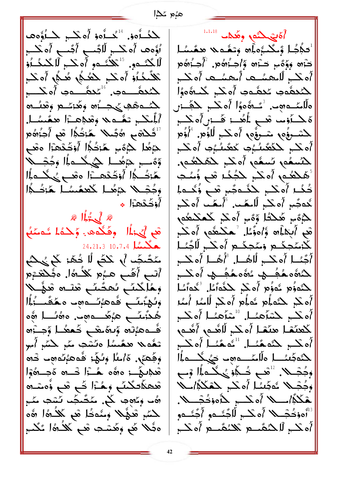لِكُماُوو.  $\stackrel{\text{\tiny{11}}}{\sim}$ وو أَوكْبِ لِمَسْرُوْوِهِ اُؤُهِ أُهكِ لَائِب أَبُّب أُهكِ لْائِكْسُمْوِ. "لِلْكُسُمُو أَهْكُمْ لَلْكُلْمُدُوْ ْݣْلُمْدُوْ أَهْكْمِ لْمَعْكُمِ هُـكُمِ أَهْكَمِ لمُنفُّسوم. "حُدَّشْسوم أُوكْسِ لكمك تهجئ وهزتك وهشك أبأنك تمدمه وقدهشا مغسل <sup>َا</sup>ثَـٰد*اهٛ*م هُجًىـلا ـمَّاتُـٰدُا هُم أَجْرُهُم حَبِّهُا ۚ حَبَّهُ بِ هُوَدُّمُۢا أُوَدِّعْتَوَا ۚ وَهُم وَّەۡـــِ حَرَمُـــا حَيْكُـــٰمَاْ وِجُجْـــلًا هَٰٓزَٰٓتُـٰٓجُلُ أَوۡخَدۡتَ ۖ وَقَبِ يَٰٓحُـٰٓ وَلَٰٓ وَلَٰٓ وَلَٰٓ وَلَٰٓ وَلَٰٓ وَلَٰٓ وَلَٰٓ وَ وَجُجْلًا حَزَهُـا كَعمَسُـا هَزَجُــٰٓءُا أُوْخُدْهِ ۚ إ  $\bigotimes_{i=1}^{n} \bigotimes_{i=1}^{n} \bigotimes_{i=1}^{n}$ هْمْ أَيْهَٰذَا ۚ وِكَنْدْهِ ۚ وَحَدُمَا شَمْعُهُ  $24.21.3$  10.7.4  $\mu$ مْكَرِّدْ لَمْ تَكْمَ لَا تُكَمَّ لَا يُحْكَمُ أَتَبِ أَكَبَ هَبْمٍ كَلُّهُ!. هِفَكَعْبْمِ وهُاكْسُم ىُعجَّىنَى هْنْــرَ هُؤُـــلا وَلَهُنَّمَكُمْ قُدْهَيْنُـدْوِمْ مَكْفُـــنُّهُ ا ھُڪُنٽ هيُوڪ@ب وهُنُسا هُو فَــه¢ئِتُم وَٚىـهُــفَــم خَـعمَـٰـل وَجــ ٓزم تعُميه همُسُل ويُشْتِ شَرِ لِكْتُبِرٍ أُسِ وِهِّعَهُرٍ. هُامِلًا وِنُهُ: ڤُوعبُنُوهِ۔ ڎُه هُجْتَهُـــز هُوَّه هُــَزَا خَـــرَهُ وَجَــرَهُوْا مْعَذَٰكَكُنَّ وَهُـٰٓ; کَے مْع وُّہشت هُ وَكَمِهِمْ ۚ كُلِّي مُكْتَّفِكَ لَكُمْتِي مَنْبِرِ لْمَسْبِ شَؤُلًا وَمُعَظُّ شَي كُلُّهُ! هُو ەبُّلا ھُم وِھُسْتِ ھُمْ كَلاُھُا ئَكْسَ

أةات مصلحه وهُكمت المناشرة المستحدة المستحدة المستحدة المستحدة المستحدة المستحدة المستحدة المستحدة ا أَكْلِكُمْ وُحُكْبُوَهُ وَتَعْتَدُ مِكْسُمْ  $\hat{\mathcal{L}}$ خْزَانَ وَوِّهُمِ حَـزَانَ وَّاجِـزُانُهُمْ وَالْجَنُّوبُ أوكم لأحصلها أحصلها أوكم لِمُعَفُّوبِ مُعَفُّوبِ أَوْكُمْ كُلْمُؤْوَلَ ولَلْسُودِوبِ ٱسْتَوْدِدُا أُوجْبِ لِلْجَسْنَ ەَكْمُوْمُد ھْبِ لْمُعْسَرْ ھَسْزَرٍ}ْہ كْسِر بِكْشْمِؤُهِ، مْمْـوَوُّهِ، أَهْكُمْ لُلُؤُمْ. أُنُوْم أَهكم للكَعَْسُمُءِ كَعَْسُمُءِ أَهكم لمسهك هُمْ أَوْكَرٍ لَمَعْلَمَهِ. أَهْلِكُمْ أَهْلَمِ لِلْجُلَا قُبْ فُسُبً تُكُم أَه كُبر لِكُـهجُبر هَــم وُكُــما كُمْجُمْ أَمْكَمْ لَلْمُصْدِ أَيْضُمْ أَمْكَمْ كَبْهُمْ هَٰكُمَا وَمُمْ أُوكَرْ كَمَكْمُوم هْمِ أَبْدَلْهِ وَادَوْمًا. [مسْكَمْعُم أَه كَبِر ݣَنْمُحِكُــْم وْمُحِكْــْمِ أَهْـكْـِ لّْاجْتُـا أُجُسًا أَه كُبر لُلْعُبا. ۚ أُهُـا أَه كُب لِكَبُثُهِ هُجُسِي مُرْهُ مِعْجُسِي أَه لَكِ لِكُمْوُمِ يُموُمِ أَوِيْلِ لِلشَّاَبُا, "كُمانُـا أُهكر كثماُم ثماُم أُهكر لُلسُا اُسُا أُه كُبِ لِكَفِّرُهَنُهِ لَسْفَعَظَ أُه كُبِ كَعنَهَا مِنَهَا أَوكَرِ لَاشُمِ أَهُمِ أُهكبو لمُنْه هُمُسل لْمُهْمَمُسْلْ أُهكْبِ المصكرخ موصداله الشامثك وِجُجْــلا.  $^{\textrm{12}}$ قَـــمِ خُــكِّوْ يُكْـــمِلَّا وْسِــحِ وَجُجْلًا مُوَجِّسًا أَوْكَرِ لِلْمَكْلَةِ الْمَالَ هَكَذَابِكُمْ أَهكير لِمُأهوَخُبْكُمْ. <sup>د</sup>َهُوفُجْـــلا أُهكْــر لْلْجُنُــهو أُجُنُــهو أُهكم لَلكمًسم كَكْنفُسم أُهكم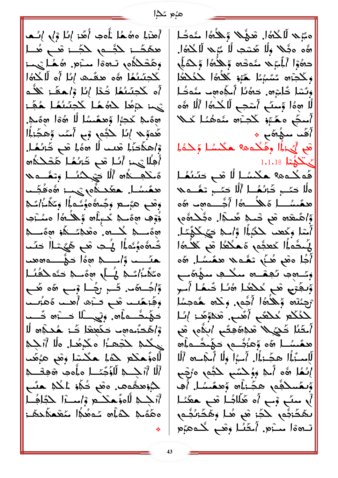أَهْبَاءِ وَهُمُا ـُأُوبُ أُهَّذِ إِبَا وَإِلَى إِنْسَفَ ھکَــ; لأَــُــم لأَــَـ; شَــم هُــا وهَٰڎَـٰذُهُ لَـهُمْ سَـرْم. هُـمَّـا بْهِــز كْجِنّْنُهُا هُو هِقّْتُ إِنَّا أَو لَّا كُووُا أَه كْجِئْتُمُا خُدْا إِتْا وْاحْقَـٰ: ݣْلْـُـه بَهِمَ حَبْهُا حَدَّهُ الْمُؤْمَّلِ مَعَ ادِمَّىمْ كَجِرَا وَهِمَّىسًا لَّا 10% دِمَّىمْ. هَٰدَوِّىٰ ﴾ِنَا ۞َيُومٍ ۚ وَبِيَ أَمَنَتَ وَجَدَيَاْ ﴾ وْ{هَكَاحَذًا شَبَ لَا هِهْا شَمِ خَرْبُهُا. أَهِلًا يَ أَسُا هُم خُبْسُمًا هَشْكَنَهُ ا هُكْفِكُمْ ٱلْلَّا فَيْكِنُكُمْ وَتَغْــفُلَا ھىسُا. مەكنە بىر ئەن ئىست وِهْمِ هِبُسِعِ وِجُبِهُوهُوَشُوباً وِيَكُلُّزُائِكِمْ وَوْهِ وَهُـــِمْ كُـَزِيْلُو وَإِلاَّــاهُ مِنْــْبَ ہوۂکے لگ ہے. ہفکوئے کہ وہ کے خَدةُهوُخُه أَلا يُــب مْعِ هَيُحْـالِ حَنَّـب مسَّما وُأَسْطِ 200 حَقَّ ـ 200هـ مَتَمَّنَّا مُسْمَّ مُسْمَّ حَثَمَ حَفَّكَ الْمَسْمَاءِ وَّاجُــةَ۔ ثَـــ رَجُــا وَٓـــ ةَه هَـــم وَفَنِعْنَتَ هُمْ فَتَرْهَا أَهْبَ ةَهْرَسَتَ تَجْتَدْتُ مِلْهُ. وَلَيْتَ الْمَدْرُهِ ثَنْتَ وْاهْدَ ْمُوسى حَكْمِعْدَا خُـ ْ هُـدِ بْهِ لَٰا يمكم اله ملهُ من أنعجكم بمكرر لْلُوزُ مِكْمٍ لِكُمْ! مِكْسَا وَمْعٍ هِزْهُت ٱلْل ٱرْكِـــــمِ لِّلُؤُجِّــُـــل مِلْمِتِ ۖ هُفِــْـَـــمِ جُبْوْهِهُمِهِ. وَهُمْ خُكُوْ لِمَحْكُمْ هِنَّم أَأْكِمِ لْأُودُهِكُ و وَإِسْرَا كَجَاجُهَا ەھَەَيې لەڭ ئەھەبا مەھىمكىدى

ە£ىد لَّاحْدُهُا. مْجِيْلا وَجْدُهُا مُدَدُّا ، هُ عَبْدٌ وِلَّا هُـْمْبٌ لَّا يُبْدِ لَّا كُـْهَٰا. دەُوٓا ٱلۡمِيۡهِ مُودُه وَهٰدُوٗا وَحِدۡهُا ۖ وِكْجْرْهِ مُمُبْرُءُ هُرُو كَلاُهُ الْكُلُفُا وَتَسْلَ خَلَّيْهِ. حَهُنُا أَحَكُمِهِ حَدْخُلًا لَا هِهُا وِّسْبُ أَسْجِعِ لَاعْدَهُا أَلَّا هُه أَسجَٰ مِمَّءُو كَجِنْرَه مُعَمُّلًا كَمِلا أَفَ سِيُمهُ \* هُمْ أَيْهَٰٓءُمْ الْمُحْدَدَةِ حَكْسُلُ وَجَكَمَهُمْ الْمُحَمَّدُ 1.1.18  $\sum_{i=1}^{n}$ َفَوكُوه؟ مِكْسُلُ لَا قَبِ حَسَّلُهُ ا ولًا حَمّـــرٍ خَرْتُهُـــا ٱلَّا حَمّــرٍ تَهْـــونَهُـــونَهُـــونَهُـــونَهُـــونَهُـــونَهُـــون مَعْسُلِ هَ لِهُ ـ هُ الْأَجْـــوهِـ هُو وَِّاهُىعْدە هُم خْسِمْ هُسْمَا. ەفْكْمُەر أَسْأَ وَكَعْبَ حَكَيْبًا وَّاسِطٍ حَكَمِكُمَّاً. لَمِنُّم مِنْ الْمُكْمِنْ وَعُمِدًا أَمِنَ كَلَامَا مِنْ الْمَدْوَاتِ أَجُلْ هِ هُنَّى مُعْدَد هِمُسْلَ هُهِ وَمُسْرَدِهِ مُهْشَرِهِ مَلَّكُمْ مَدَوُّهُ مِنْ أَوُلِكُوْنِ هُمْ نُعْطُطُ هُنُا شُعُا أُمِر رَجِئْتُو وَلِلَّذُوا أُجُمٍ, وِكْلُو هُوجِسًا  $\vec{r}$ لْمُكُلِّمِ يُمْكُنِّي أُهُبِي. مْنَاؤُهُـ: إِنْبَا أَمْثَلُا شَيْهَا هُدَهُ فِشَمٍ أَبِدُّهِ هُمِ مِعْسُلِ اللهِ وَمُنْشُمِ حَكْمَشُمْلُهِ لِّأَسِيَّبَاْ هِجَّ بَاْلِ أُسِيَّا وِلًا أَسْفِيه ٱلَّا إِنَّمَا هُ٥ أَ٨ وِوُ لَسَّمٍ لِأَهْمٍ وَرُضِّهِ ۇيغىنىڭ ھېزاھ ۆھقىئىل أف ﴾ سبِّ وَبِ أَه هَٰلَمَاهُا هَبِ حَعَمُا ا ىھَڪَرْثُمِ ۖ كَجُز ۚ شَي هُـا وِهَۡڪُرۡكُـِمَٰى تِهِ 10 مِيَّامِ, أَيْضُا وَهُم كُمْعَ مِ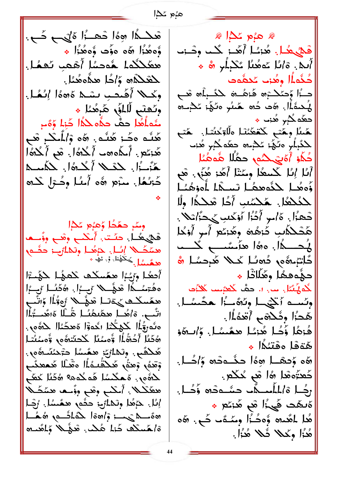هَكُمَا هِهَا تَعْدُا هَلَى جَبّ.  $\bullet$  وَوَهُدًٰا وَوَى وَوَهُدًا ﴾ هعَكْكُما هُوَصِبًا أَهْمِبِ تَعْمُلَ. َكْتُكُمُهُ وُاُحُلُّ هَكُوهُمْدًا . وكْتْݣَا أُهْبَعْبْ بْشْيْهْ هْرْهْا إِنْهْا. وِنَّدِيْبِ لَالمَوْ هَٰٓ هُمْ وَهُمْ وَ مُعلِّفُا حقَّ حَذَّه كَذَا خَذِا وَوُمِ هُنُه هکُ; هُنُه. ۞ه وۡٱلۡمُكۡرِ هُم هُدْعُمْ. أَمْكُوهِ وَالْحُدُوا فِي أَحْدُوا هَنْزَاً. حَدْمًا أَكْتَرُهُ إِنْ حَكْمِهِ م كْتِبْعُلْ. مِنْتِعْ هُوَ أَمِنُـلْ وِكْتِوْلِ لَكْتِهِ - وسُرِ حمُّحُا وُهرُم كَكَرَا -فْهَيْهُـا. حنَّـت. أَسْكُب وقْب وزُـــم همَّكُــــلا إِنْــل. حَرِّهُـــل وِلَــمَلَّرُوْبَ حَقَّــو وَ<br>هِمَّــيْنَل كَلَّفْنَا، وْاللهُ -أَحعُا وَرُبُرُا مِمْسَكُفٍ كَعِيمًا حَيْمَةَا ەفْتِسْـدا شَوَْـــلا رَّبِّ!. شُكَنُــا رَبِّ! همّسكك حيّة تُما شَرُّسُلا وُووُّمُ أَوْسَلَهُمْ الَنَّــبِ. ةَ/هُــا ٍ محمَّـطُــُـا ۖ قُــُلَا هَاهُــــۃُٰلَٰا ەئەرۋ1ا كىلىكا رىمۇا ەھكىاا خۇەب. هُكُنُا أُحُرَّهُ أَا وُّمِنْنَا ۖ كَحِنَّتُوْهِ ۖ وُّمِنْنُدَا هَٰٓدُهُّــبِ. وِلَـٰٓدَارُبَٰٓـٰ ِ هِمَّــُمُّلُّـ حَتَّـحُنُّــْ هُ٥و. وْتَعَمُ وْمِثُمْ مُحْقُنُهُ أَا هَنْتُنَا مُعْعَنَب لِهُمْ، هُمَكْسُلُ فَمِكْمَعٌ هُدَّمُلٌ كَعَبِ هَفَكُمْ ﴾ أَمْكُم وقْعٍ وُوَسِعَه هَمَكُمْ ا إِبَا. حَزْهُا وِتَمَارُو: حَثَّمٍ هِمَّسُا. رُضَا لمسلم شهر مستفاء المستكم المستكمل المستضح المستشفين ةَاهَسْلَاكَ خَبْلَ هُكْ. شَوْيَلا وَلِمُحْسِنَة

**& عَزْمٍ کَکْرًا &** قْهِيْهَا. هُزْسًا أَهْـز لَهْمَا وَتْـزْم أَىك وْاْمُلْ كَوْهُمُلْ مُكْرِبُلُو ﴿ \* كُنْمَلًا وهُزم كَدْهُوت حبأا وُحِمْحَيْهِ هَٰزِهُــةِ لِحَكْـبِلَهِ هَبِ لْحَمَّأَا. ۞حد حُمْ هَمْلُو وَنَّهَٰۥ مَكْبَرَــدَّة |حعّد کُرُب هُند \* هَمِنُا وِهَيْهِ كَمْعَكِنْدَا هِلْاوْكِنُدَا. هَيْم للذَّبِلُرِ وَنَكْبَ مُكْبِسَهِ حَقَّدَكُمْرِ هُنِت حُكُوْ أَهْيَحْتُمْ حَقَّلًا هُوَهُمْا أَمَلَا إِمَا كَمَسْعَدًا وِمَثَنَا أَهَدَ هُنِّي. هُم وُّوهُــا ۖ كِنُوهِهُــا تَسـكُـا لِمُوهُنُـا لْمُنْحَمَّا. هَٰكُمَّىبِ أَكَّا مْكَدًا وِلَا حْعَزًا. هَا بِ أَدُّرًا أَوْكَبِ حَكَّرَاتِكَا . هُصْلِكُلْبِ دَٰءَهُ۞ وهُٰٓءَكُمْ أُس أُوۡكُلُّا لُهِ الْمَالِ وَهَٰ مِنْكُسِبٍ كَسْبَ دَّاتزِ رەُ مِ دُوسُل كَـــلا هُـرِحسُــل ق | حجَّەھھُل وهُلَّاتْل \* لَاه فَي مًا. مدر المحصَّد للحَ مَعْ اللهَ مِنْ اللهَ مَعْلَمَ وِئْسِدِ أَتَّتَهَبَّا وِئَهُنَّا حَثَّمَتُنَا. هُدُٰا وِثْلاَهْمِ ٱتَّعَمُلَا ِ. قُرْهُا وَّحُـا هُرْسُا همَّسُـا. وَٱلـ﴿ هَةِ قَالَ هُنَنَدًا ﴾ هُه وُدهْــا هِهُا حَـنُــهوْه وُاصّْــا. كَعْتُوهَا هُ أَهْمٍ يُمَكِّعِ. رجُّا ةُالمُلُّمــدُّب حِشْـودُه وَّجُــا. ەُنْقُتْ فَيْءُلْ شَى هُزْعُمْ \* هُا لمُعْده وُدَخُوا وِمُـدٌ حُــٍّ. 6ه هُنُا وَبُمِلاً فَلا هُنَّا.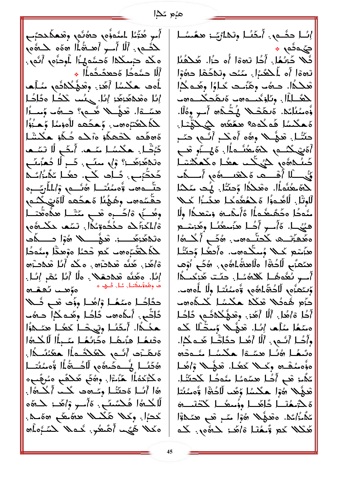أُسِ هُتَمَا لِمُدَوُّو حَوُثُو وِهُمَكَدحَبَ لِحَشُمٍ. أَلَّا أُسِرٍ أَهْتَقَٰهُ! 500 لِكَنُّهُمْ ه كُمْ حَبْسَكُمْا هُحِشُولُهُ أَرْجَنُومِ ٱلنَّهِ . أَلَّا حِسْدَكَا هُجِعْجُبْجُمَاًا ﴾ لْمُوت حَكْسُلُمْ أَهَٰذٍ. وِتَعَهُّكُمْثُمْ سُمَاحَ إِمَّا هَمْدَهُوْ إِمَّا. حِيشَ كَلَّا هَ مَاكَمٍ همَّــةَ أَ. شَوْيَـــلا شَـــه؟ حـــوهُــ وُحـــرًا لِلْمَلِكَتَبُوهِ. وَحَصَّدَهُ الْأَوْسُلُ وَحَذُوْا ەُھەَدە للائىھكاز ەلىكە كُلُّز ھگىشل دَٰٓئِشَا. حكْسُا سُحه. أَحَبَ لَا تَسُحَ ەتكاھُدَهُـــز؟ وْ﴾ مىنّـــى. كَـــرِ لَّا دُهَّزْمَنَــع كُدْتُبُبِ. ئَـاد كُـب. دهُـا مُدُّائـُد حتَّـــدەب ۋْدىمُنْتـــا ھُتَـــد وْالمأرجَـــرە رمثلُهُ هضَمة الْمُهْمُ . وهنفُت وِهُـــنَى ةَاكَـــرِه هَـــبِ مَنْنَـــا هذُهقُنـَــا ة/الْكَزَالِكَ حَكْثُووْنُكُلْ. تَسْمَا حَكْسَرُّهِ ەلْمْغَنِعْــــــــز. شَيْــــــــــلا ھُوۡم صــــــكُف للْمُلْتَغْبُوهِ ۖ كُمْ دْحَبُلْ وَوْهَٰذًا وِمُئُودًا ةَ اهَّذِ. هَنَّه مْحَاضُرْهِ. مكْم أَبَلْ هُجَاحَبُرُه إِيَّا. وَهَيْدُ هَدْدَهْلاً. وَلَّا أَيَّا عُجْرِ إِيَّا.<br>وَالْمُقَامِيَةُ عَلَيْ قَدْ مَعْ مَعْ الْحَمْدِينَ ەۇھىما ئېقىھ حدَّاحُــا منّـمُــا وْاهُــا وِوَّد هَــو كَـــلا دَٰاتَـٰـٰى. أَـٰھُ١٥ھـٰ دَّاحُـٰا وِھُـٰہِكُمْ! ڪھُـٰ هَذُكُا. أَحَضُـٰا وِيَحْسَـا كَعُسَا مِنَـٰهَوَٰا وثعمًا فَنَصُا وَدَنُهُا سُبِلًا لَّاحُدُوا هَىعَـْزَد أَنَــه لِلطَّلْفَــملُّا حظَّنْتُــدُّا. هُكَنُــا فِـُـــمَثَمَى لَّاحُـــةُاُا وُٓمنُنُـَــا ەڭتْكەُلُّا ھَٰڹٞتْا. وەڭ ھُكْفَى ەنْرېْمى هْا ٱلْــا هَحتْـْـا وِـُــهِ حَــد ٱلْحُــهُا. لْالْحَـْهَٰا فُحْسَّىئَـہِ. هَٰأَسِرِ وۡاهَـٰۂ حَـٰهَٰه كْحَزَا. وكْمَلَا هَكْمَىلا هَدْهَاهُمْ وَهَامًا. هَكُلًا هَيُبِ أَهُتَعُو. تُدَمَلُهُ لَمُنْتُوْهَأَمَّهُ

إِسًا حَشَّـهِ. أَمَثُـٰا وِتَمَارُيَّـ; مَعَّـَمُـا \* مِکْمِرْک ثَلا كُنْتُمُا. أَجُا نَمَوْا أَو جُزا. هُلِكْتُا تَّوَّةُ أَنَّ لَمَكْثَرًا. مَّنْتَ وِتَذَكَّقَا حَوْوًا تَعْكَمُّا. حَبِّهُ- وَهَّنْحَتْ جُلُوُّا وِهُجَكُمْ! لِحَقَمَالِمَالِ. وِتَاوَيْمِـــوهِــ وَيَصَحِكْنَــوهِـ ؤْهِمُعُلَّكُمْ. كَعَضْمَلا هُنْتُمْهِ أَسِرٍ وِهُلَا. ەھكىئا قەكەھ ھۆكە كىلاقدا. حَتَّىٰلٌ. هَؤُلُّكُ وَهُ٥ أَ٥ كُمْ أَنَّـهِ حَمْمٍ أَى الْمَسْتَدَى مِسْتَكْسَمَانَ وَسَيْرَى وَسَيْرَ مِنْ مَسْتَدَىٰنَ وَسَيْرَ مِنْ مَسْتَدَىٰنَ وَ كَسُمْهُمْ لِمُهْمَدِ حَيْنَكُمْ وَكُمَكْتَسْأَ فَيْ أَلَمْ أَهْـــِ مَا حَمْدَـــِ رَهُ مِ أَمــــدَّمَـ لِحْمَٰىغُمَاًا. وَمَحْكُمَا وُحِتْنًا. يُحِ مَحْكَمَا لْأُوتْل. لْأَهْدَوْلَ هَ كَمُعْدَكَرِ هَذَٰ الْمَحَكَمُ الْمَحَلَمَ مْدَدُا دَحُھُىھُداْا دُأُمْدَىٰ وَمْعِدَا وِلَٰا هيُهُــا. هَأَســو أَحُــا هنَسمُثـا وهَنشــــــــم ەھۡدَاۡلَــد كَحَتَّــەمى. ھُكَــى ٱلْكَــدُا هَزَّسْعِ كَكَلَّا وُستُحْمَدِهِ. وأَصْحُلَ وَحِتَنُا هكعَبْبِ لَّاحُرْثْا وْلَاهِدْتُمْلِيُّوي. شُكِّبِ ٱوْهَــ أَسِبِ تُعْدَهُا لَكُلُّهُ ُا. حَتَّتْ هَٰٓ نَكْتُمُاْ أَوَّىتَحَنَّى لَّاحُقَّاهُم وُّەمْنُسَّا وِلَّا لِمُعَه دَّم هُءكُلا مْكُلْمْ هكْسُلْ كْمِكْوەت أَحُلْ هَ/هُدْلِ. أَلَّلْ أَهُدٍ. وِتَعِهْكُمْفَــٰهِ ۖ قَاحُـٰلَ ەمئىگا مىلگ باشا. قىۋىلا ۆمىشىلا كىھ وأُحُـا أَنَّــمِ. أَلَّا أَهُــا حَفَاتْـا هَـــم كُرْا. وتُنصُّلُ هُنُّلُ هَنْتُ الْمَكْنِسُلُ مِنْتُدَدُهِ هؤْهِمُفْـهِ وِكَــلا كَعُــا. هَـوَْــلا وْاهُــا حْكُم: هَم أَحُـا همّوصًا مُوحُـا لَحْحَتُنَا. تَعِيثُكُمْ هُوْا حَكْسُا وُهُب لِّاحُرْثَا وُّمِسُتُا هَ حَبْسُهُنَــا حُاهُـــا وِوُسِعُــا كَحْنْنَـــوه كَمُنْهُكُمْ. وقَدِيْكَ هُوْا مَنْهِ قَدِ مَحْكَمَوْۤا هَٰلَكَ لَمَعٍ وَّسَعُمْلَ وْاهُدْ لَحَدُّهِ. كَمَ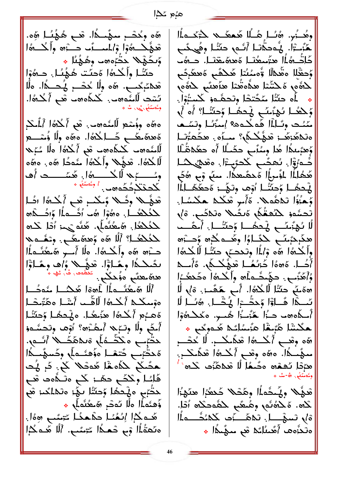هُه وكُتْم مِكْمَلًا. قَبْ هُؤُيُّا هُهُ. هَهْكُــهُوۡا وۡالمصــأَب حـــٓزه والكـــهُا وَٰىکُوْلا حَثَّہُ‰۔ وَهُوُمُلٌ ﴾ ْ حَتّْـا وأَحْدَهُا هَحَنَّتْ هُجُنًا. حــهُوْا تَعْطَيْكُمْبِ. ۞ه وِلْا حُتّْبِ بِمُحْسَلًا. هِلْا ئشب لَامْدُەم. كْمُلُوم، شَم أَكْمُوا. 060 ووُسْع لَامُدەت. ھَي أَكْدُا ٱلْمُكْرِ ەُھەمَىگَـــــ كَــــاڭدەُا. دەە ب<sup>ال</sup>ا فُـــْـــــــــم لَّامْدەمە كْمْدەمە شى أَكْدَهُ ا هَلَّا سُبْحَه لَّاكْلُهَا. مْدَمُكُلُّ وِأَكْلُهُا مُنْعَظُ هَء. هِ هَه وئـــــــــــزها لَلـــُــــــــــــوهُ ال . هَمَـئــــــــــت أُف<br>ــُلحـفــُـلـْـرْحُــحُــدوهـــــ ، العِثَمـنْيه \* تَعَهُّــلاً وِئَــلاً وَجُنْــمٍ تَعَــمِ أَجْـٰـمَا ائَــلَّا لْكُلُّكُمُّـاً. دَقُوْاً هُـَ أُشَّـٰءاًا وَّاثُـُــدَّاه لْمُلْكُمَا. ﴿ مَعُنُماً. هُنُهُ يَ مَنْ أَصْلَ لَكُمْ لْمُلْكُمْ! ٱلْمَا وَهُ وَهُدَهَ حَكَمٍ. وِتْغُسُمْلِا حِنْزَهِ وَهُو وِأَحْدِثُوا. وَلَا أُسِيرٍ وَمَعْنُـوَا ا بصَّحْكُمُا وِهُـاؤْا. تَعِهُّــِـلا وُلُّف وِهُـاؤْا هدهُ معنٌ ووُ دكيل . مُعَفَّف فُ عُمْ و الْلَّا هَٰىعُنُــدالَّا الْهوَا هُكْــا مُوَدُّــا ەزىىكك أىْحەا لَّاقُـب أَسْلِ ەھَتُىشل هُهِءُم أَكْشَا هزَيعُا. ولِيَحِعُا وَجِئْنَا أَمضَ ولًا وتَجْهِ أَمِكْنَوْهِ؟ ٱوْهَدَ وِتَحِشُّدَوْ حثَّىٰٖبِ مَكْتُــهُ﴾ ةىكمّْكَـــلا أَنْـــم. هُدتَبُبِ دُتمْـا هؤُهنُــه)ُ وِحَسوَّـــدُا ھتَىكَمْ لِمُمْعَلَّا هُدَنَىٰلاً كُمْ. ثَمِ يُتَ فَائِـُا وِكْكُـعٍ حَمَّـ: كُـعٍ هَــْهُوَ هَـعٍ حَتَّىًٖ وَيُحَمُّا وِّحَتَّاْ بِهَٰ: وَتَطَلَّمَٰ: مَنِ وَّڪماُ اللَّهُ صَدْرِ (مُحْشَمَلُ ﴾ هُدهِكُمْ إِنْعُنَا حَكَمْخًا تَتِمَّبِ هِهْ!. وَتَحَدُّلُمْ وَبِي شَعَـدُا حُتِمَّىبٍ. أَلَّا هَـدِكْرِا

وهُــزُبِ. هُنُــل هُــلًا هُــمهُــــلا لِـثَوَّكَـــدِمُلًا هَزَٰتَ;ا. يُحكَّفُنَا أَنَّـهِ حَتَنًا وِفُهِجَبَـمٍ كَاتُحِهُمَّا مِتَصِمُتَا هُمِهَ مِعْتَا. حِـهُ وَحِقْلِا مِعْطاًا وُمِئْتُنَا هَٰلِكُم مُعَظِّرِكُم لِهُ مَى السَّنَاءِ مَدَّوَمَهُ مَدَّهَبٍ لِلْمُوْمِ وَحْكُمَا تُهْنَيَّى لِمُحَمَّا وَحَتَنَّا؟ أَه لَ مِّنْتِ وِتَبَالُمَا هُوجُدُوِيٌّ إِمْتَرَبَّا وِتَسَمَّ ەلكاھُدَهُــز قَدْهُكْــكُم؟ مـــزُه . هڪُـعـتُرْتــل وَهِبَسِكًا هَٰا مِسْلَى حَضَلًا أَه حفَكَمْقَلَا دُّەرُۋَا. ىُھكَب كَد<sub>َّى</sub>ٰۃًا. ەقىي كىل هَٰهُالُمَا الزَّمِرِيُّا هَٰحَمَّحَدُّا. منهُ وَ ۖ هُكُمْ لْمَحْمَّـا وُحِنْتُـا ٱوْهَـ وِنَهْــز هُحِمْكَمْـالْمَا وَحَزُوْا تَدْهُوهَا. وَأَمِرٍ مُحَكِّمٌ حَكْسًا. لَحشُووْ ۖ ۖ كَلُعَقُكُمْ ۚ وَلَحْشَلُهُ ۚ وَلَٰكُمْ ۖ وَلَٰهِ ۚ وَلَٰهِ ۖ وَلَٰهِ ۖ وَلَٰهِ ۖ وَلَٰ لْا نُجْنَنَـــ لْمَحْمُـــا وَحِتُنْـــا. أَحْـَــب هَذَبِيَبَسُم كَمَسَاوُا وِهُــوَكْرُهِ وَحَــٓرُه وأكْشًا هَٰه وْالْمَا وِتَحْدَىٰ حَتْنًا لَّاكْتُوا أَكْسًا. هَ هُمَا كُرْتُعُسًا هُدْتُكُلُّهِ. هُ أَسْلًا وُٱهۡنَٰبٍ . حَمۡمَشُـٰهِ ٱوۡاَكُـٰهُۢا ۚ هَٰحَمۡعُـُٰٓإا ، وَمَنَّعٍ حَتَنَّا لِّالْحَدَّةِ ا. أَبِ هُهُـــزِ. وَإِنَّ لَّا صَّــٰۃًا فَـٰلَوْۤا وَحتَـٰـٰٓ، لَٰنُــْٓـٰا . ہُنُــٰا لّٰا أَكْمُوهِمْ دَءًٰا هَٰٓئِيَـَٰٓا هُمْسِ. وَكَكَنُوۡوَا هَكْشًا هُبُنْهَا هُنْسُلْتُمْ هُدُوكُمْ \* هُه وِهْبِ أَكْــهُا شَكَيكْــزٍ. لَا ْحُصّْــزِ سَهَّىـدًا. هَ هُه وقب أَكْـدَا شَدَّىـْتَـرِ. هَزَدًا تَعْقُوا وَضُغًا لَّا قَدَمَّتُوا لَدُو<sup>ا ا</sup> هَوْيٌمْ وِيُمْحُمِلُا وِهَٰدْمْ كَحِمْرُا هِنَهْزَا لَّكْلُهُ. هَٰكُلُهُمْ وِهُنفُمٍ كَحُفْحَكُلُهُ أَثَلُ ة) سَنْ إِلاهَـــزَت كَلائُفْـــومُّا وَتَدَّوَّمَ أَهُنْلُكُمْ هُمْ سَؤُسُلًا ﴾